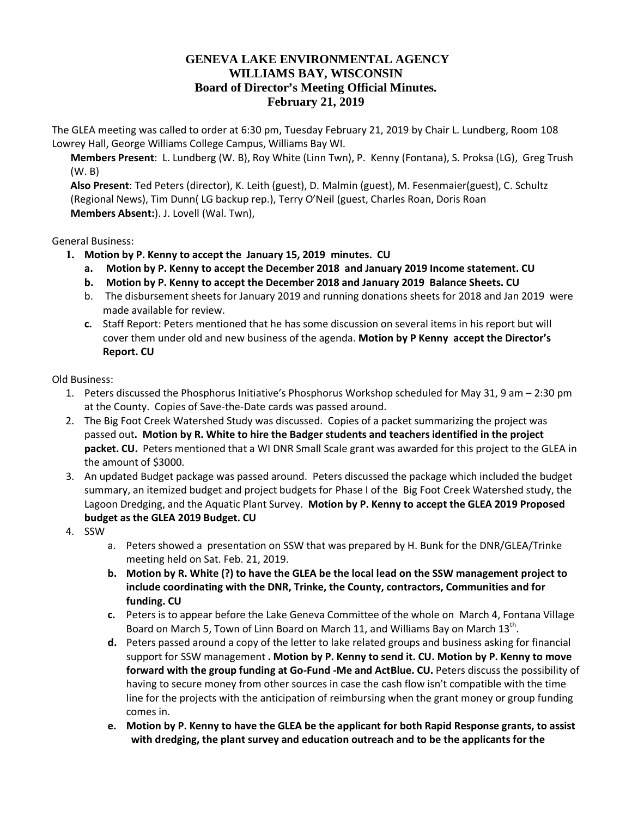## **GENEVA LAKE ENVIRONMENTAL AGENCY WILLIAMS BAY, WISCONSIN Board of Director's Meeting Official Minutes. February 21, 2019**

The GLEA meeting was called to order at 6:30 pm, Tuesday February 21, 2019 by Chair L. Lundberg, Room 108 Lowrey Hall, George Williams College Campus, Williams Bay WI.

**Members Present**: L. Lundberg (W. B), Roy White (Linn Twn), P. Kenny (Fontana), S. Proksa (LG), Greg Trush (W. B)

**Also Present**: Ted Peters (director), K. Leith (guest), D. Malmin (guest), M. Fesenmaier(guest), C. Schultz (Regional News), Tim Dunn( LG backup rep.), Terry O'Neil (guest, Charles Roan, Doris Roan **Members Absent:**). J. Lovell (Wal. Twn),

General Business:

- **1. Motion by P. Kenny to accept the January 15, 2019 minutes. CU**
	- **a. Motion by P. Kenny to accept the December 2018 and January 2019 Income statement. CU**
	- **b. Motion by P. Kenny to accept the December 2018 and January 2019 Balance Sheets. CU**
	- b. The disbursement sheets for January 2019 and running donations sheets for 2018 and Jan 2019 were made available for review.
	- **c.** Staff Report: Peters mentioned that he has some discussion on several items in his report but will cover them under old and new business of the agenda. **Motion by P Kenny accept the Director's Report. CU**

Old Business:

- 1. Peters discussed the Phosphorus Initiative's Phosphorus Workshop scheduled for May 31, 9 am 2:30 pm at the County. Copies of Save-the-Date cards was passed around.
- 2. The Big Foot Creek Watershed Study was discussed. Copies of a packet summarizing the project was passed out**. Motion by R. White to hire the Badger students and teachers identified in the project packet. CU.** Peters mentioned that a WI DNR Small Scale grant was awarded for this project to the GLEA in the amount of \$3000.
- 3. An updated Budget package was passed around. Peters discussed the package which included the budget summary, an itemized budget and project budgets for Phase I of the Big Foot Creek Watershed study, the Lagoon Dredging, and the Aquatic Plant Survey. **Motion by P. Kenny to accept the GLEA 2019 Proposed budget as the GLEA 2019 Budget. CU**
- 4. SSW
	- a. Peters showed a presentation on SSW that was prepared by H. Bunk for the DNR/GLEA/Trinke meeting held on Sat. Feb. 21, 2019.
	- **b. Motion by R. White (?) to have the GLEA be the local lead on the SSW management project to include coordinating with the DNR, Trinke, the County, contractors, Communities and for funding. CU**
	- **c.** Peters is to appear before the Lake Geneva Committee of the whole on March 4, Fontana Village Board on March 5, Town of Linn Board on March 11, and Williams Bay on March 13<sup>th</sup>.
	- **d.** Peters passed around a copy of the letter to lake related groups and business asking for financial support for SSW management **. Motion by P. Kenny to send it. CU. Motion by P. Kenny to move forward with the group funding at Go-Fund -Me and ActBlue. CU.** Peters discuss the possibility of having to secure money from other sources in case the cash flow isn't compatible with the time line for the projects with the anticipation of reimbursing when the grant money or group funding comes in.
	- **e. Motion by P. Kenny to have the GLEA be the applicant for both Rapid Response grants, to assist with dredging, the plant survey and education outreach and to be the applicants for the**